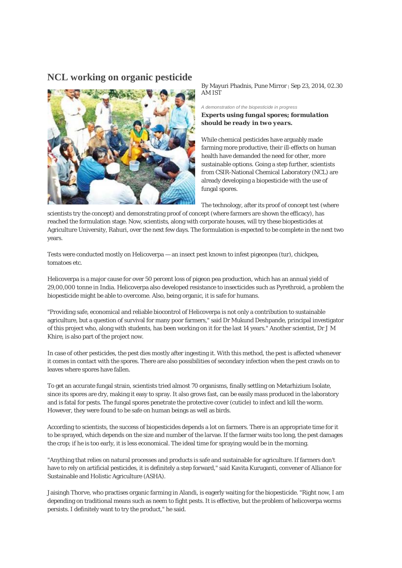**NCL working on organic pesticide** 



By Mayuri Phadnis, Pune Mirror | Sep 23, 2014, 02.30 AM IST

*A demonstration of the biopesticide in progress Experts using fungal spores; formulation should be ready in two years.*

While chemical pesticides have arguably made farming more productive, their ill-effects on human health have demanded the need for other, more sustainable options. Going a step further, scientists from CSIR-National Chemical Laboratory (NCL) are already developing a biopesticide with the use of fungal spores.

The technology, after its proof of concept test (where

scientists try the concept) and demonstrating proof of concept (where farmers are shown the efficacy), has reached the formulation stage. Now, scientists, along with corporate houses, will try these biopesticides at Agriculture University, Rahuri, over the next few days. The formulation is expected to be complete in the next two years.

Tests were conducted mostly on Helicoverpa — an insect pest known to infest pigeonpea (tur), chickpea, tomatoes etc.

Helicoverpa is a major cause for over 50 percent loss of pigeon pea production, which has an annual yield of 29,00,000 tonne in India. Helicoverpa also developed resistance to insecticides such as Pyrethroid, a problem the biopesticide might be able to overcome. Also, being organic, it is safe for humans.

"Providing safe, economical and reliable biocontrol of Helicoverpa is not only a contribution to sustainable agriculture, but a question of survival for many poor farmers," said Dr Mukund Deshpande, principal investigator of this project who, along with students, has been working on it for the last 14 years." Another scientist, Dr J M Khire, is also part of the project now.

In case of other pesticides, the pest dies mostly after ingesting it. With this method, the pest is affected whenever it comes in contact with the spores. There are also possibilities of secondary infection when the pest crawls on to leaves where spores have fallen.

To get an accurate fungal strain, scientists tried almost 70 organisms, finally settling on Metarhizium Isolate, since its spores are dry, making it easy to spray. It also grows fast, can be easily mass produced in the laboratory and is fatal for pests. The fungal spores penetrate the protective cover (cuticle) to infect and kill the worm. However, they were found to be safe on human beings as well as birds.

According to scientists, the success of biopesticides depends a lot on farmers. There is an appropriate time for it to be sprayed, which depends on the size and number of the larvae. If the farmer waits too long, the pest damages the crop; if he is too early, it is less economical. The ideal time for spraying would be in the morning.

"Anything that relies on natural processes and products is safe and sustainable for agriculture. If farmers don't have to rely on artificial pesticides, it is definitely a step forward," said Kavita Kuruganti, convener of Alliance for Sustainable and Holistic Agriculture (ASHA).

Jaisingh Thorve, who practises organic farming in Alandi, is eagerly waiting for the biopesticide. "Right now, I am depending on traditional means such as neem to fight pests. It is effective, but the problem of helicoverpa worms persists. I definitely want to try the product," he said.